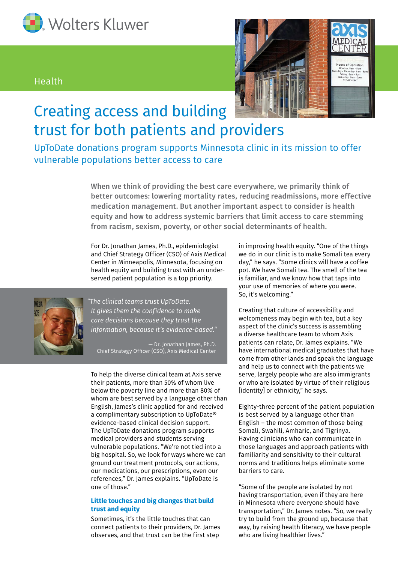

# Health



# Creating access and building trust for both patients and providers

UpToDate donations program supports Minnesota clinic in its mission to offer vulnerable populations better access to care

> When we think of providing the best care everywhere, we primarily think of better outcomes: lowering mortality rates, reducing readmissions, more effective medication management. But another important aspect to consider is health equity and how to address systemic barriers that limit access to care stemming from racism, sexism, poverty, or other social determinants of health.

For Dr. Jonathan James, Ph.D., epidemiologist and Chief Strategy Officer (CSO) of Axis Medical Center in Minneapolis, Minnesota, focusing on health equity and building trust with an underserved patient population is a top priority.



*"The clinical teams trust UpToDate. It gives them the confidence to make care decisions because they trust the information, because it's evidence-based."*

— Dr. Jonathan James, Ph.D. Chief Strategy Officer (CSO), Axis Medical Center

To help the diverse clinical team at Axis serve their patients, more than 50% of whom live below the poverty line and more than 80% of whom are best served by a language other than English, James's clinic applied for and received a complimentary subscription to UpToDate® evidence-based clinical decision support. The UpToDate donations program supports medical providers and students serving vulnerable populations. "We're not tied into a big hospital. So, we look for ways where we can ground our treatment protocols, our actions, our medications, our prescriptions, even our references," Dr. James explains. "UpToDate is one of those."

## **Little touches and big changes that build trust and equity**

Sometimes, it's the little touches that can connect patients to their providers, Dr. James observes, and that trust can be the first step

in improving health equity. "One of the things we do in our clinic is to make Somali tea every day," he says. "Some clinics will have a coffee pot. We have Somali tea. The smell of the tea is familiar, and we know how that taps into your use of memories of where you were. So, it's welcoming."

Creating that culture of accessibility and welcomeness may begin with tea, but a key aspect of the clinic's success is assembling a diverse healthcare team to whom Axis patients can relate, Dr. James explains. "We have international medical graduates that have come from other lands and speak the language and help us to connect with the patients we serve, largely people who are also immigrants or who are isolated by virtue of their religious [identity] or ethnicity," he says.

Eighty-three percent of the patient population is best served by a language other than English – the most common of those being Somali, Swahili, Amharic, and Tigrinya. Having clinicians who can communicate in those languages and approach patients with familiarity and sensitivity to their cultural norms and traditions helps eliminate some barriers to care.

"Some of the people are isolated by not having transportation, even if they are here in Minnesota where everyone should have transportation," Dr. James notes. "So, we really try to build from the ground up, because that way, by raising health literacy, we have people who are living healthier lives."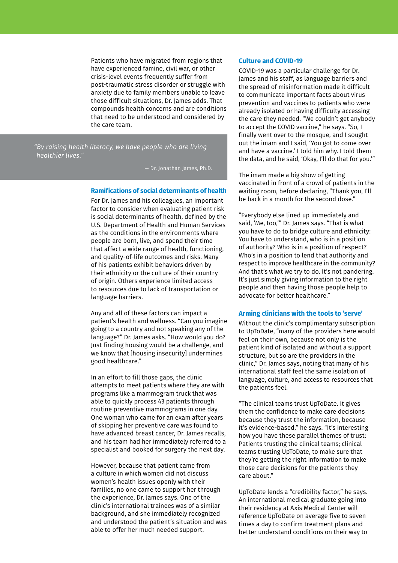Patients who have migrated from regions that have experienced famine, civil war, or other crisis-level events frequently suffer from post-traumatic stress disorder or struggle with anxiety due to family members unable to leave those difficult situations, Dr. James adds. That compounds health concerns and are conditions that need to be understood and considered by the care team.

*"By raising health literacy, we have people who are living healthier lives."*

— Dr. Jonathan James, Ph.D.

#### **Ramifications of social determinants of health**

For Dr. James and his colleagues, an important factor to consider when evaluating patient risk is social determinants of health, defined by the U.S. Department of Health and Human Services as the conditions in the environments where people are born, live, and spend their time that affect a wide range of health, functioning, and quality-of-life outcomes and risks. Many of his patients exhibit behaviors driven by their ethnicity or the culture of their country of origin. Others experience limited access to resources due to lack of transportation or language barriers.

Any and all of these factors can impact a patient's health and wellness. "Can you imagine going to a country and not speaking any of the language?" Dr. James asks. "How would you do? Just finding housing would be a challenge, and we know that [housing insecurity] undermines good healthcare."

In an effort to fill those gaps, the clinic attempts to meet patients where they are with programs like a mammogram truck that was able to quickly process 43 patients through routine preventive mammograms in one day. One woman who came for an exam after years of skipping her preventive care was found to have advanced breast cancer, Dr. James recalls, and his team had her immediately referred to a specialist and booked for surgery the next day.

However, because that patient came from a culture in which women did not discuss women's health issues openly with their families, no one came to support her through the experience, Dr. James says. One of the clinic's international trainees was of a similar background, and she immediately recognized and understood the patient's situation and was able to offer her much needed support.

### **Culture and COVID-19**

COVID-19 was a particular challenge for Dr. James and his staff, as language barriers and the spread of misinformation made it difficult to communicate important facts about virus prevention and vaccines to patients who were already isolated or having difficulty accessing the care they needed. "We couldn't get anybody to accept the COVID vaccine," he says. "So, I finally went over to the mosque, and I sought out the imam and I said, 'You got to come over and have a vaccine.' I told him why. I told them the data, and he said, 'Okay, I'll do that for you.'"

The imam made a big show of getting vaccinated in front of a crowd of patients in the waiting room, before declaring, "Thank you, I'll be back in a month for the second dose."

"Everybody else lined up immediately and said, 'Me, too,'" Dr. James says. "That is what you have to do to bridge culture and ethnicity: You have to understand, who is in a position of authority? Who is in a position of respect? Who's in a position to lend that authority and respect to improve healthcare in the community? And that's what we try to do. It's not pandering. It's just simply giving information to the right people and then having those people help to advocate for better healthcare."

#### **Arming clinicians with the tools to 'serve'**

Without the clinic's complimentary subscription to UpToDate, "many of the providers here would feel on their own, because not only is the patient kind of isolated and without a support structure, but so are the providers in the clinic," Dr. James says, noting that many of his international staff feel the same isolation of language, culture, and access to resources that the patients feel.

"The clinical teams trust UpToDate. It gives them the confidence to make care decisions because they trust the information, because it's evidence-based," he says. "It's interesting how you have these parallel themes of trust: Patients trusting the clinical teams; clinical teams trusting UpToDate, to make sure that they're getting the right information to make those care decisions for the patients they care about."

UpToDate lends a "credibility factor," he says. An international medical graduate going into their residency at Axis Medical Center will reference UpToDate on average five to seven times a day to confirm treatment plans and better understand conditions on their way to